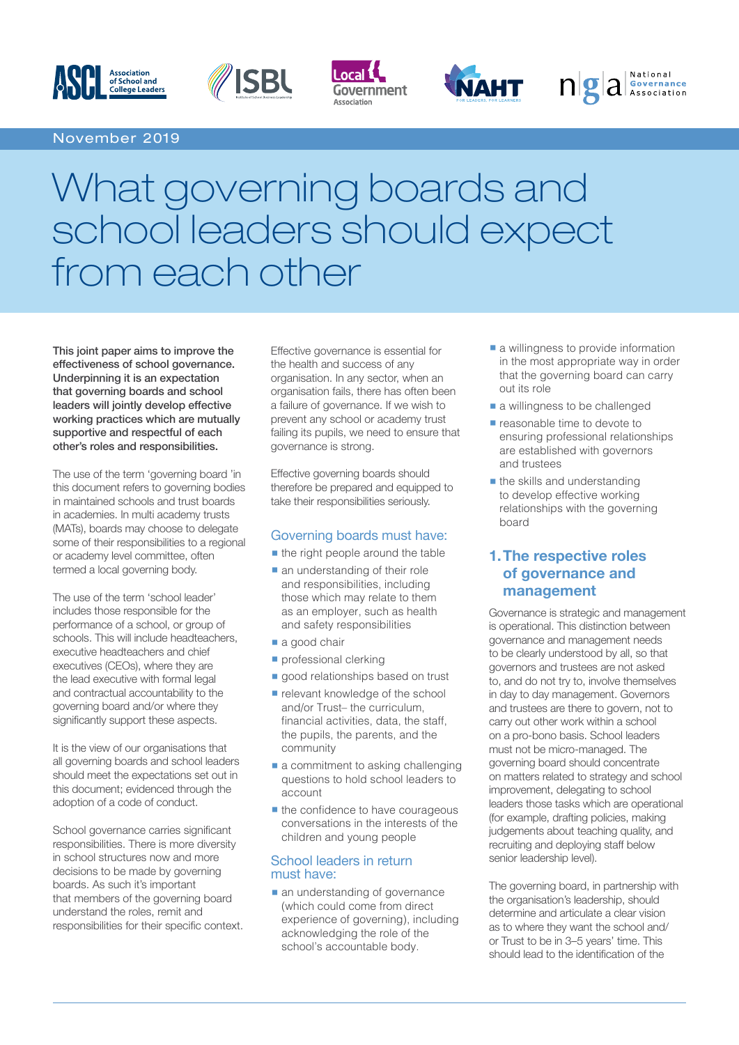





WAHT



# What governing boards and school leaders should expect from each other

This joint paper aims to improve the effectiveness of school governance. Underpinning it is an expectation that governing boards and school leaders will jointly develop effective working practices which are mutually supportive and respectful of each other's roles and responsibilities.

The use of the term 'governing board 'in this document refers to governing bodies in maintained schools and trust boards in academies. In multi academy trusts (MATs), boards may choose to delegate some of their responsibilities to a regional or academy level committee, often termed a local governing body.

The use of the term 'school leader' includes those responsible for the performance of a school, or group of schools. This will include headteachers, executive headteachers and chief executives (CEOs), where they are the lead executive with formal legal and contractual accountability to the governing board and/or where they significantly support these aspects.

It is the view of our organisations that all governing boards and school leaders should meet the expectations set out in this document; evidenced through the adoption of a code of conduct.

School governance carries significant responsibilities. There is more diversity in school structures now and more decisions to be made by governing boards. As such it's important that members of the governing board understand the roles, remit and responsibilities for their specific context.

Effective governance is essential for the health and success of any organisation. In any sector, when an organisation fails, there has often been a failure of governance. If we wish to prevent any school or academy trust failing its pupils, we need to ensure that governance is strong.

Effective governing boards should therefore be prepared and equipped to take their responsibilities seriously.

#### Governing boards must have:

- $\blacksquare$  the right people around the table
- an understanding of their role and responsibilities, including those which may relate to them as an employer, such as health and safety responsibilities
- a good chair
- **•** professional clerking
- good relationships based on trust
- **•** relevant knowledge of the school and/or Trust– the curriculum, financial activities, data, the staff, the pupils, the parents, and the community
- a commitment to asking challenging questions to hold school leaders to account
- **the confidence to have courageous** conversations in the interests of the children and young people

#### School leaders in return must have:

■ an understanding of governance (which could come from direct experience of governing), including acknowledging the role of the school's accountable body.

**a** willingness to provide information in the most appropriate way in order that the governing board can carry out its role

National

 $n$ **g** a  $\frac{1}{2}$  a  $\frac{1}{2}$   $\frac{1}{2}$   $\frac{1}{2}$   $\frac{1}{2}$   $\frac{1}{2}$   $\frac{1}{2}$ 

- a willingness to be challenged
- **•** reasonable time to devote to ensuring professional relationships are established with governors and trustees
- **the skills and understanding** to develop effective working relationships with the governing board

# **1. The respective roles of governance and management**

Governance is strategic and management is operational. This distinction between governance and management needs to be clearly understood by all, so that governors and trustees are not asked to, and do not try to, involve themselves in day to day management. Governors and trustees are there to govern, not to carry out other work within a school on a pro-bono basis. School leaders must not be micro-managed. The governing board should concentrate on matters related to strategy and school improvement, delegating to school leaders those tasks which are operational (for example, drafting policies, making judgements about teaching quality, and recruiting and deploying staff below senior leadership level).

The governing board, in partnership with the organisation's leadership, should determine and articulate a clear vision as to where they want the school and/ or Trust to be in 3–5 years' time. This should lead to the identification of the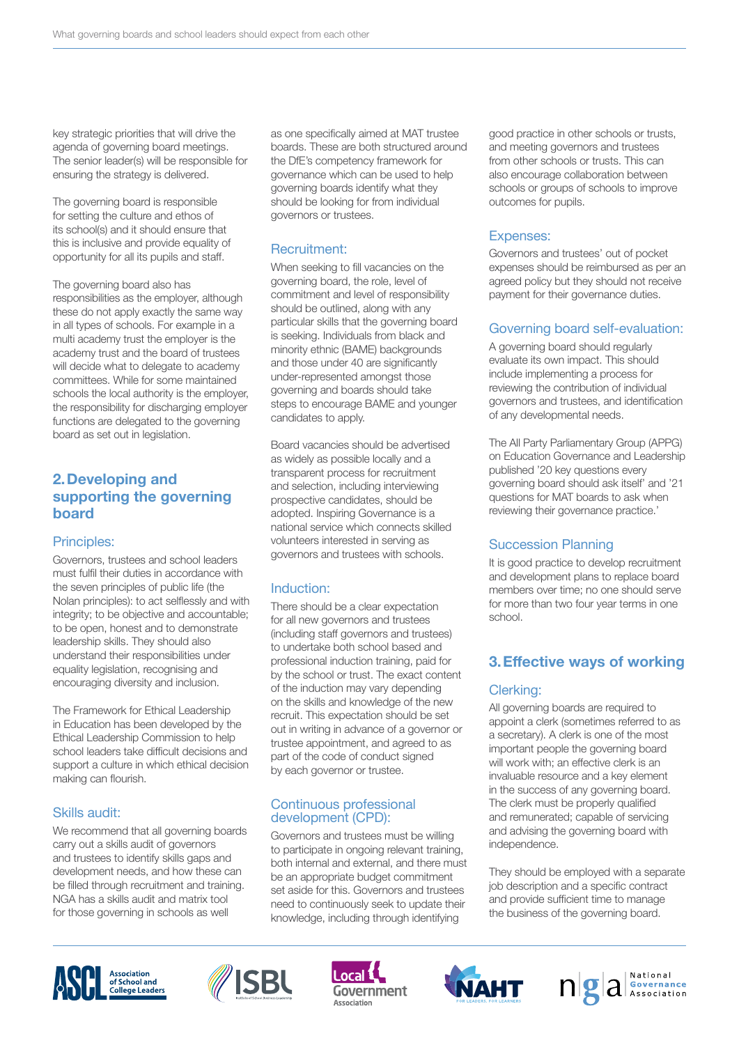key strategic priorities that will drive the agenda of governing board meetings. The senior leader(s) will be responsible for ensuring the strategy is delivered.

The governing board is responsible for setting the culture and ethos of its school(s) and it should ensure that this is inclusive and provide equality of opportunity for all its pupils and staff.

The governing board also has responsibilities as the employer, although these do not apply exactly the same way in all types of schools. For example in a multi academy trust the employer is the academy trust and the board of trustees will decide what to delegate to academy committees. While for some maintained schools the local authority is the employer, the responsibility for discharging employer functions are delegated to the governing board as set out in legislation.

# **2.Developing and supporting the governing board**

#### Principles:

Governors, trustees and school leaders must fulfil their duties in accordance with the seven principles of public life (the Nolan principles): to act selflessly and with integrity; to be objective and accountable; to be open, honest and to demonstrate leadership skills. They should also understand their responsibilities under equality legislation, recognising and encouraging diversity and inclusion.

The Framework for Ethical Leadership in Education has been developed by the Ethical Leadership Commission to help school leaders take difficult decisions and support a culture in which ethical decision making can flourish.

#### Skills audit:

We recommend that all governing boards carry out a skills audit of governors and trustees to identify skills gaps and development needs, and how these can be filled through recruitment and training. NGA has a skills audit and matrix tool for those governing in schools as well

as one specifically aimed at MAT trustee boards. These are both structured around the DfE's competency framework for governance which can be used to help governing boards identify what they should be looking for from individual governors or trustees.

#### Recruitment:

When seeking to fill vacancies on the governing board, the role, level of commitment and level of responsibility should be outlined, along with any particular skills that the governing board is seeking. Individuals from black and minority ethnic (BAME) backgrounds and those under 40 are significantly under-represented amongst those governing and boards should take steps to encourage BAME and younger candidates to apply.

Board vacancies should be advertised as widely as possible locally and a transparent process for recruitment and selection, including interviewing prospective candidates, should be adopted. Inspiring Governance is a national service which connects skilled volunteers interested in serving as governors and trustees with schools.

#### Induction:

There should be a clear expectation for all new governors and trustees (including staff governors and trustees) to undertake both school based and professional induction training, paid for by the school or trust. The exact content of the induction may vary depending on the skills and knowledge of the new recruit. This expectation should be set out in writing in advance of a governor or trustee appointment, and agreed to as part of the code of conduct signed by each governor or trustee.

#### Continuous professional development (CPD):

Governors and trustees must be willing to participate in ongoing relevant training, both internal and external, and there must be an appropriate budget commitment set aside for this. Governors and trustees need to continuously seek to update their knowledge, including through identifying

good practice in other schools or trusts, and meeting governors and trustees from other schools or trusts. This can also encourage collaboration between schools or groups of schools to improve outcomes for pupils.

#### Expenses:

Governors and trustees' out of pocket expenses should be reimbursed as per an agreed policy but they should not receive payment for their governance duties.

#### Governing board self-evaluation:

A governing board should regularly evaluate its own impact. This should include implementing a process for reviewing the contribution of individual governors and trustees, and identification of any developmental needs.

The All Party Parliamentary Group (APPG) on Education Governance and Leadership published '20 key questions every governing board should ask itself' and '21 questions for MAT boards to ask when reviewing their governance practice.'

#### Succession Planning

It is good practice to develop recruitment and development plans to replace board members over time; no one should serve for more than two four year terms in one school.

# **3. Effective ways of working**

#### Clerking:

All governing boards are required to appoint a clerk (sometimes referred to as a secretary). A clerk is one of the most important people the governing board will work with; an effective clerk is an invaluable resource and a key element in the success of any governing board. The clerk must be properly qualified and remunerated; capable of servicing and advising the governing board with independence.

They should be employed with a separate job description and a specific contract and provide sufficient time to manage the business of the governing board.









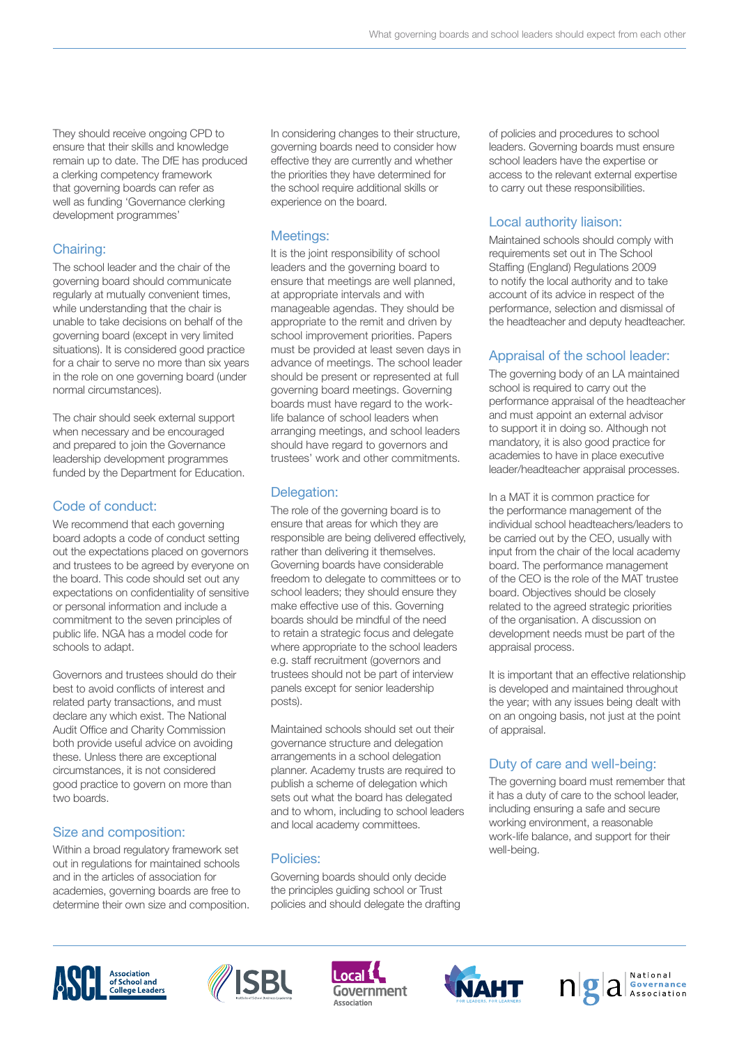They should receive ongoing CPD to ensure that their skills and knowledge remain up to date. The DfE has produced a clerking competency framework that governing boards can refer as well as funding 'Governance clerking development programmes'

# Chairing:

The school leader and the chair of the governing board should communicate regularly at mutually convenient times, while understanding that the chair is unable to take decisions on behalf of the governing board (except in very limited situations). It is considered good practice for a chair to serve no more than six years in the role on one governing board (under normal circumstances).

The chair should seek external support when necessary and be encouraged and prepared to join the Governance leadership development programmes funded by the Department for Education.

# Code of conduct:

We recommend that each governing board adopts a code of conduct setting out the expectations placed on governors and trustees to be agreed by everyone on the board. This code should set out any expectations on confidentiality of sensitive or personal information and include a commitment to the seven principles of public life. NGA has a model code for schools to adapt.

Governors and trustees should do their best to avoid conflicts of interest and related party transactions, and must declare any which exist. The National Audit Office and Charity Commission both provide useful advice on avoiding these. Unless there are exceptional circumstances, it is not considered good practice to govern on more than two boards.

# Size and composition:

Within a broad regulatory framework set out in regulations for maintained schools and in the articles of association for academies, governing boards are free to determine their own size and composition. In considering changes to their structure, governing boards need to consider how effective they are currently and whether the priorities they have determined for the school require additional skills or experience on the board.

# Meetings:

It is the joint responsibility of school leaders and the governing board to ensure that meetings are well planned, at appropriate intervals and with manageable agendas. They should be appropriate to the remit and driven by school improvement priorities. Papers must be provided at least seven days in advance of meetings. The school leader should be present or represented at full governing board meetings. Governing boards must have regard to the worklife balance of school leaders when arranging meetings, and school leaders should have regard to governors and trustees' work and other commitments.

# Delegation:

The role of the governing board is to ensure that areas for which they are responsible are being delivered effectively, rather than delivering it themselves. Governing boards have considerable freedom to delegate to committees or to school leaders; they should ensure they make effective use of this. Governing boards should be mindful of the need to retain a strategic focus and delegate where appropriate to the school leaders e.g. staff recruitment (governors and trustees should not be part of interview panels except for senior leadership posts).

Maintained schools should set out their governance structure and delegation arrangements in a school delegation planner. Academy trusts are required to publish a scheme of delegation which sets out what the board has delegated and to whom, including to school leaders and local academy committees.

# Policies:

Governing boards should only decide the principles guiding school or Trust policies and should delegate the drafting of policies and procedures to school leaders. Governing boards must ensure school leaders have the expertise or access to the relevant external expertise to carry out these responsibilities.

# Local authority liaison:

Maintained schools should comply with requirements set out in The School Staffing (England) Regulations 2009 to notify the local authority and to take account of its advice in respect of the performance, selection and dismissal of the headteacher and deputy headteacher.

# Appraisal of the school leader:

The governing body of an LA maintained school is required to carry out the performance appraisal of the headteacher and must appoint an external advisor to support it in doing so. Although not mandatory, it is also good practice for academies to have in place executive leader/headteacher appraisal processes.

In a MAT it is common practice for the performance management of the individual school headteachers/leaders to be carried out by the CEO, usually with input from the chair of the local academy board. The performance management of the CEO is the role of the MAT trustee board. Objectives should be closely related to the agreed strategic priorities of the organisation. A discussion on development needs must be part of the appraisal process.

It is important that an effective relationship is developed and maintained throughout the year; with any issues being dealt with on an ongoing basis, not just at the point of appraisal.

# Duty of care and well-being:

The governing board must remember that it has a duty of care to the school leader, including ensuring a safe and secure working environment, a reasonable work-life balance, and support for their well-being.